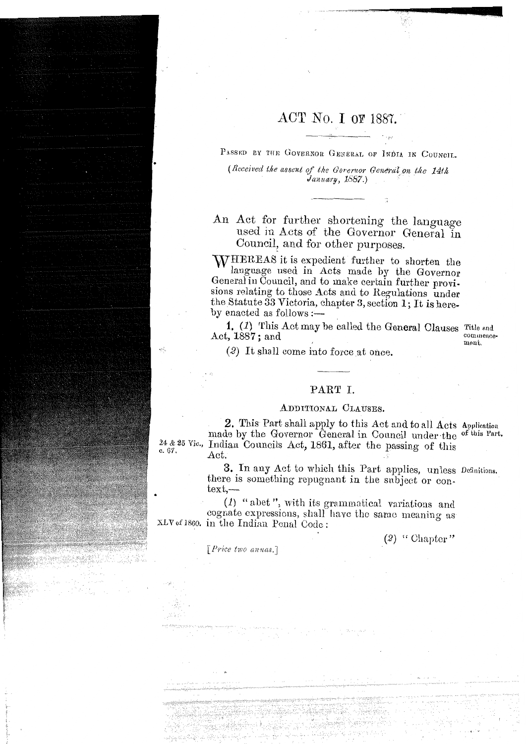# ACT No. I OF 1887.

PASSED BY THE GOVERNOR GENERAL OF INDIA IN COUNCIL.

(Received the assent of the Gorernor General on the 14th January, 1887.)

An Act for further shortening the language used in Acts of the Governor General in Council, and for other purposes.

WHEREAS it is expedient further to shorten the language used in Acts made by the Governor General in Council, and to make certain further provisions relating to those Acts and to Regulations under the Statute 33 Victoria, chapter 3, section 1; It is hereby enacted as follows :—

1. (1) This Act may be called the General Clauses Title and Act,  $1887$ : and

commencement.

(2) It shall come into force at once.

# PART I.

### ADDITIONAL CLAUSES.

2. This Part shall apply to this Act and to all Acts Application made by the Governor General in Council under the of this Part. 24 & 25 Vic., Indian Councils Act, 1861, after the passing of this Act.

> 3. In any Act to which this Part applies, unless Definitions. there is something repugnant in the subject or con $text, -$

 $(1)$  "abet", with its grammatical variations and cognate expressions, shall have the same meaning as XLV of 1860. in the Indian Penal Code:

 $(2)$  "Chapter"

[Price two annas.]

c. 67.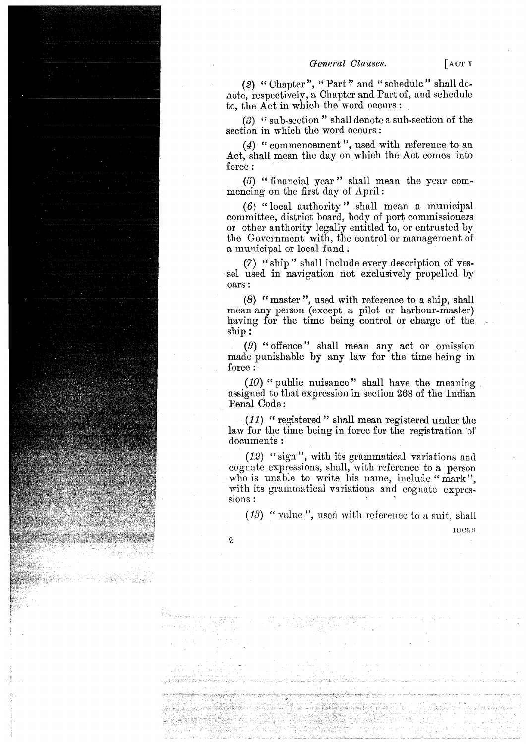(2) " Uhapter", " Part" and " schedule" shall denote, respectively, a Chapter and Part of, and schedule to, the  $\overline{Act}$  in which the word occurs :

*(3)* " sub-section " shall denote a sub-section of the section in which the word occurs:

(4) " commencement ", used with reference to an Act, shall mean the day on which the Act comes into force:

 $(5)$  " financial year" shall mean the year commencing on the first day of April :

 $(6)$  " local authority" shall mean a municipal committee, district board, body of port commissioners or other authority legally entitled to, or entrusted by the Government with, the control or management of a municipal or local fund :

**(7)** " ship " shall include every description of vessel used in navigation not exclusively propelled by oars :

(8) " master ", used with reference to a ship, shall mean any person (except a pilot or harbour-master) having for the time being control or charge of the ship :

(9) "offence" shall mean any act or omission made punishable by any law for the time being in force :

 $(10)$  " public nuisance" shall have the meaning assigned to that expression in section 268 of the Indian Penal Code :

*(11)* " registered " shall mean registered under the law for the time being in force for the registration of documents :

(12) " sign ", with its grammatical variations and cognate espressions, shall, with reference to a person who is unable to write his name, include "mark", with its grammatical variations and cognate expressions :

 $(13)$  " value", used with reference to a suit, shall mean

 $\boldsymbol{2}$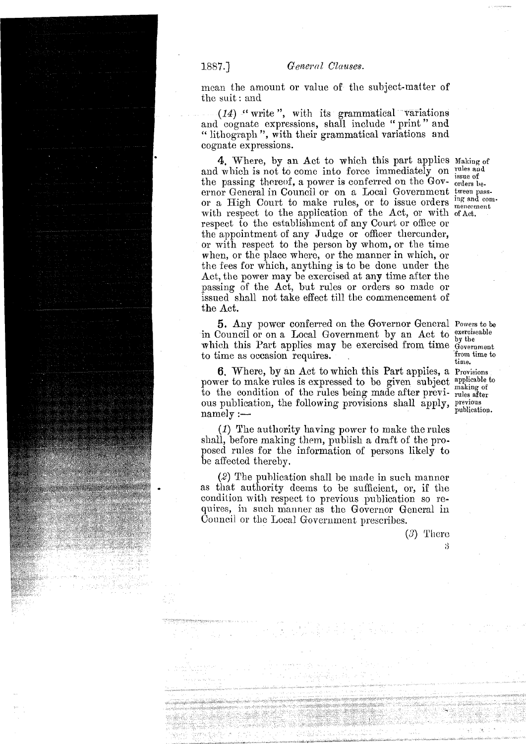mean the amount or value of the subject-matter of the suit : and

 $(14)$  " write", with its grammatical variations and cognate expressions, shall include " print " and " lithograph ", with their grammatical variations and cognate expressions.

4. Where, by an Act to which this part applies Making of and which is not to come into force immediately on rules and the passing thereof, a power is conferred on the Gov- $_{\text{orders}}^{\text{issue of}}$ ernor General in Council or on a Local Government tween **pass**or a High Court to make rules, or to issue orders  $_{\text{meancement}}^{ing \text{ and com}}$ . with respect to the application of the Act, or with **ofact.**  respect to the establishment of any Court or office or the appointment of any Judge or officer thereunder, or with respect to the person by whom, or the time when, or the place where, or the manner in which, or the fees for which, anything is to be done under the Act, the power may be exercised at any time after the passing of the Act, but rules or orders so made or issued shall not take effect till the commencement of the Act.

5. Any power conferred on the Governor General Powers **to be**  in Council or on a Local Government by an Act to  $\frac{\text{exercises}}{\text{by the}}$ which this Part applies may be exercised from time government<br>to time as occasion requires to time as occasion requires.

6. Where, by an Act to which this Part appiies, a **Provisions**  power to make rules is expressed to be given subject applicable to to the condition of the rules being made after previ- rules after ous publication, the following provisions shall apply, previous publication. **publication**, the following provisions shall apply, publication.

(I) The autliority having power to make the rules shall, before making them, publish a draft of the proposed rules for the information of persons likely to be affected thereby.

 $(2)$  The publication shall be made in such manner as that authority deems to be sufficient, or, if the condition with rcspect to previous publication so requires, in such manner as the Governor General in Council or the Local Government prescribes.

**time.** 

 $(3)$  There

3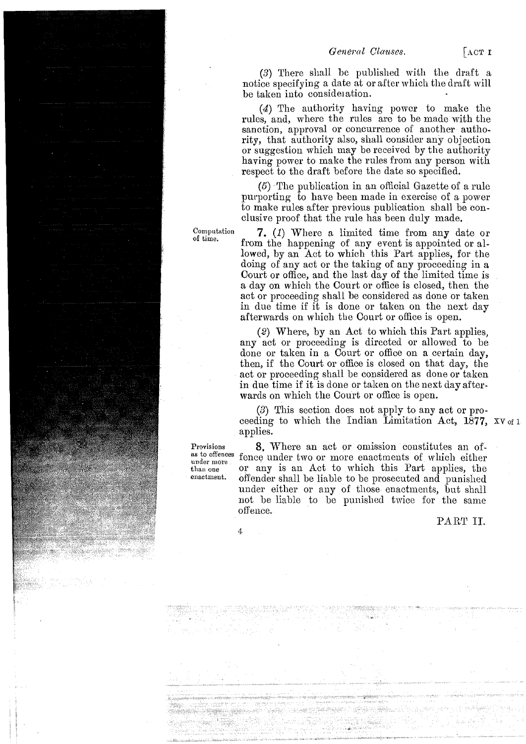(3) There shall be published with the draft a notice specifying a date at or after which the draft will be taken into consideration.

*(4)* The authority having powor to make the rules, and, where the rules are to be made with the sanction, approval or concurrence of another authority, that authority also, shall consider any objection or suggestion which may be received by the authority having power to make the rules from any person with respect to the draft before the date so specified.

 $(5)$ . The publication in an official Gazette of a rule purporting to have been made in exercise of a power to make rules after previous publication shall be conclusive proof that the rule has been duly made.

7. (1) Where a limited time from any date or from the happening of any event is appointed or allowed, by an Act to which this Part applies, for the doing of any act or the taking of any proceeding in a Court or office, and the last day of the limited time is a, day on which the Court or office is closed, then the act or proceeding shall be considered as done or taken in due time if it is done or taken on the next day afterwards on which the Court or office is open.

(2) Where, by an Act to which this Part applies, any act or proceeding is directed or allowed to be done or taken in a Court or office on a certain day, then, if the Court or office is closed on that day, the act or proceeding shall be considered as done or taken in due time if it is done or taken on the next day afterwards on which the Court or office is open.

*(3)* This section does not apply to any act or proceeding to which the Indian Limitation Act,  $1877$ , XV of 1 applies.

8. Where an act or omission constitutes an offence under two or more enactments of wllich either or any is an Act to which this Part applies, the offender shall be liable to be prosecuted and punished under either or any of those enactments, but shall not be liable to be punished twice for the same offence.

PART II.

Computation of time.

Provisions as to offences under more . than one enactment.

4